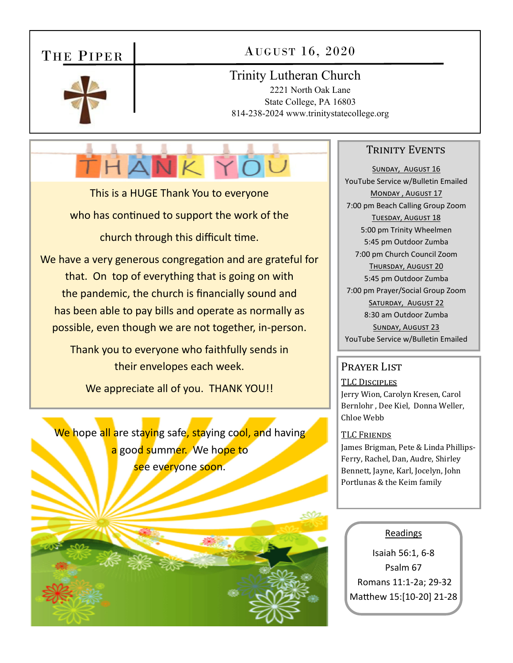## THE PIPER

### AUGUST 16, 2020

#### Trinity Lutheran Church

2221 North Oak Lane State College, PA 16803 814-238-2024 www.trinitystatecollege.org

# THANKYOU

This is a HUGE Thank You to everyone who has continued to support the work of the church through this difficult time.

We have a very generous congregation and are grateful for that. On top of everything that is going on with the pandemic, the church is financially sound and has been able to pay bills and operate as normally as possible, even though we are not together, in‐person.

> Thank you to everyone who faithfully sends in their envelopes each week.

We appreciate all of you. THANK YOU!!

We hope all are staying safe, staying cool, and having a good summer. We hope to see everyone soon.

#### TRINITY EVENTS

SUNDAY, AUGUST 16 YouTube Service w/Bulletin Emailed MONDAY, AUGUST 17 7:00 pm Beach Calling Group Zoom TUESDAY, AUGUST 18 5:00 pm Trinity Wheelmen 5:45 pm Outdoor Zumba 7:00 pm Church Council Zoom THURSDAY, AUGUST 20 5:45 pm Outdoor Zumba 7:00 pm Prayer/Social Group Zoom SATURDAY, AUGUST 22 8:30 am Outdoor Zumba SUNDAY, AUGUST 23 YouTube Service w/Bulletin Emailed

#### Prayer List

TLC DISCIPLES Jerry Wion, Carolyn Kresen, Carol Bernlohr , Dee Kiel, Donna Weller, Chloe Webb

#### TLC FRIENDS

James Brigman, Pete & Linda Phillips-Ferry, Rachel, Dan, Audre, Shirley Bennett, Jayne, Karl, Jocelyn, John Portlunas & the Keim family

#### Readings

Isaiah 56:1, 6‐8 Psalm 67 Romans 11:1‐2a; 29‐32 Matthew 15:[10-20] 21-28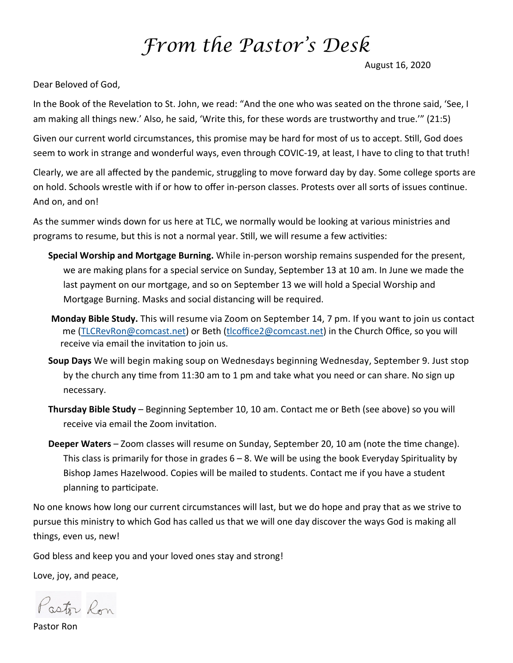## *From the Pastor's Desk*

August 16, 2020

Dear Beloved of God,

In the Book of the Revelation to St. John, we read: "And the one who was seated on the throne said, 'See, I am making all things new.' Also, he said, 'Write this, for these words are trustworthy and true.'" (21:5)

Given our current world circumstances, this promise may be hard for most of us to accept. Still, God does seem to work in strange and wonderful ways, even through COVIC‐19, at least, I have to cling to that truth!

Clearly, we are all affected by the pandemic, struggling to move forward day by day. Some college sports are on hold. Schools wrestle with if or how to offer in-person classes. Protests over all sorts of issues continue. And on, and on!

As the summer winds down for us here at TLC, we normally would be looking at various ministries and programs to resume, but this is not a normal year. Still, we will resume a few activities:

- **Special Worship and Mortgage Burning.** While in‐person worship remains suspended for the present, we are making plans for a special service on Sunday, September 13 at 10 am. In June we made the last payment on our mortgage, and so on September 13 we will hold a Special Worship and Mortgage Burning. Masks and social distancing will be required.
- **Monday Bible Study.** This will resume via Zoom on September 14, 7 pm. If you want to join us contact me (TLCRevRon@comcast.net) or Beth (tlcoffice2@comcast.net) in the Church Office, so you will receive via email the invitation to join us.
- **Soup Days** We will begin making soup on Wednesdays beginning Wednesday, September 9. Just stop by the church any time from 11:30 am to 1 pm and take what you need or can share. No sign up necessary.
- **Thursday Bible Study** Beginning September 10, 10 am. Contact me or Beth (see above) so you will receive via email the Zoom invitation.
- **Deeper Waters** Zoom classes will resume on Sunday, September 20, 10 am (note the time change). This class is primarily for those in grades  $6 - 8$ . We will be using the book Everyday Spirituality by Bishop James Hazelwood. Copies will be mailed to students. Contact me if you have a student planning to participate.

No one knows how long our current circumstances will last, but we do hope and pray that as we strive to pursue this ministry to which God has called us that we will one day discover the ways God is making all things, even us, new!

God bless and keep you and your loved ones stay and strong!

Love, joy, and peace,

Pastor Ron

Pastor Ron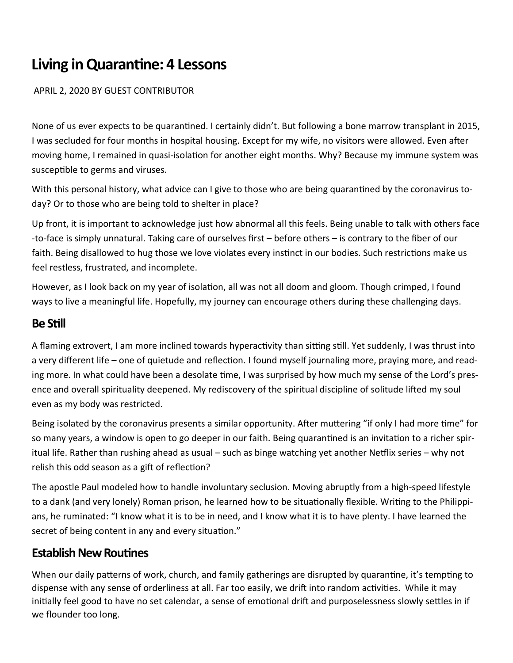## **Living in Quarantine: 4 Lessons**

APRIL 2, 2020 BY GUEST CONTRIBUTOR

None of us ever expects to be quarantined. I certainly didn't. But following a bone marrow transplant in 2015, I was secluded for four months in hospital housing. Except for my wife, no visitors were allowed. Even after moving home, I remained in quasi-isolation for another eight months. Why? Because my immune system was susceptible to germs and viruses.

With this personal history, what advice can I give to those who are being quarantined by the coronavirus today? Or to those who are being told to shelter in place?

Up front, it is important to acknowledge just how abnormal all this feels. Being unable to talk with others face ‐to‐face is simply unnatural. Taking care of ourselves first – before others – is contrary to the fiber of our faith. Being disallowed to hug those we love violates every instinct in our bodies. Such restrictions make us feel restless, frustrated, and incomplete.

However, as I look back on my year of isolation, all was not all doom and gloom. Though crimped, I found ways to live a meaningful life. Hopefully, my journey can encourage others during these challenging days.

#### **Be SƟll**

A flaming extrovert, I am more inclined towards hyperactivity than sitting still. Yet suddenly, I was thrust into a very different life – one of quietude and reflection. I found myself journaling more, praying more, and reading more. In what could have been a desolate time, I was surprised by how much my sense of the Lord's presence and overall spirituality deepened. My rediscovery of the spiritual discipline of solitude lifted my soul even as my body was restricted.

Being isolated by the coronavirus presents a similar opportunity. After muttering "if only I had more time" for so many years, a window is open to go deeper in our faith. Being quarantined is an invitation to a richer spiritual life. Rather than rushing ahead as usual – such as binge watching yet another Neƞlix series – why not relish this odd season as a gift of reflection?

The apostle Paul modeled how to handle involuntary seclusion. Moving abruptly from a high‐speed lifestyle to a dank (and very lonely) Roman prison, he learned how to be situationally flexible. Writing to the Philippians, he ruminated: "I know what it is to be in need, and I know what it is to have plenty. I have learned the secret of being content in any and every situation."

#### **Establish New Routines**

When our daily patterns of work, church, and family gatherings are disrupted by quarantine, it's tempting to dispense with any sense of orderliness at all. Far too easily, we drift into random activities. While it may initially feel good to have no set calendar, a sense of emotional drift and purposelessness slowly settles in if we flounder too long.